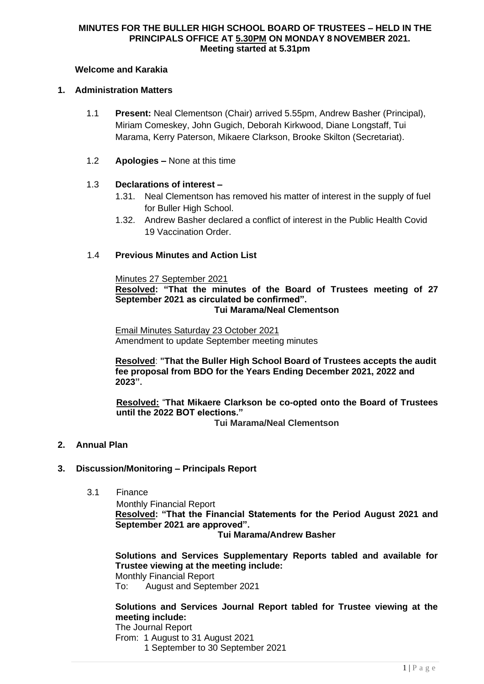#### **MINUTES FOR THE BULLER HIGH SCHOOL BOARD OF TRUSTEES – HELD IN THE PRINCIPALS OFFICE AT 5.30PM ON MONDAY 8 NOVEMBER 2021. Meeting started at 5.31pm**

# **Welcome and Karakia**

#### **1. Administration Matters**

- 1.1 **Present:** Neal Clementson (Chair) arrived 5.55pm, Andrew Basher (Principal), Miriam Comeskey, John Gugich, Deborah Kirkwood, Diane Longstaff, Tui Marama, Kerry Paterson, Mikaere Clarkson, Brooke Skilton (Secretariat).
- 1.2 **Apologies –** None at this time

# 1.3 **Declarations of interest –**

- 1.31. Neal Clementson has removed his matter of interest in the supply of fuel for Buller High School.
- 1.32. Andrew Basher declared a conflict of interest in the Public Health Covid 19 Vaccination Order.

#### 1.4 **Previous Minutes and Action List**

#### Minutes 27 September 2021

**Resolved: "That the minutes of the Board of Trustees meeting of 27 September 2021 as circulated be confirmed".**

#### **Tui Marama/Neal Clementson**

Email Minutes Saturday 23 October 2021 Amendment to update September meeting minutes

**Resolved**: **"That the Buller High School Board of Trustees accepts the audit fee proposal from BDO for the Years Ending December 2021, 2022 and 2023".** 

**Resolved:** "**That Mikaere Clarkson be co-opted onto the Board of Trustees until the 2022 BOT elections."**

**Tui Marama/Neal Clementson**

**2. Annual Plan** 

# **3. Discussion/Monitoring – Principals Report**

3.1 Finance

Monthly Financial Report **Resolved: "That the Financial Statements for the Period August 2021 and September 2021 are approved".**

**Tui Marama/Andrew Basher**

**Solutions and Services Supplementary Reports tabled and available for Trustee viewing at the meeting include:**

Monthly Financial Report

To: August and September 2021

# **Solutions and Services Journal Report tabled for Trustee viewing at the meeting include:**

The Journal Report

From: 1 August to 31 August 2021

1 September to 30 September 2021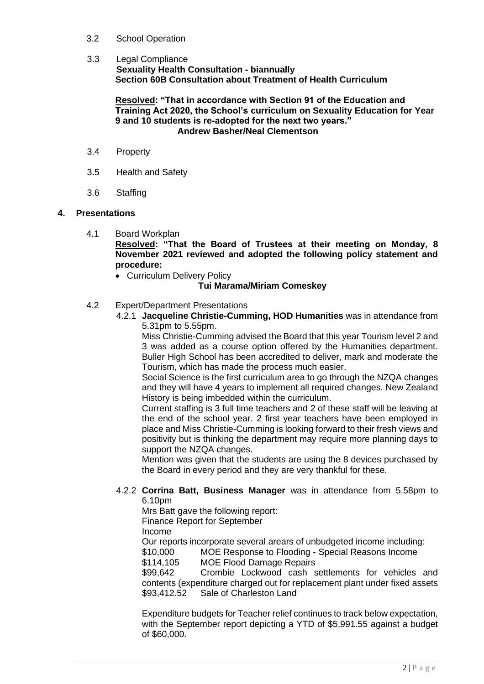# 3.2 School Operation

# 3.3 Legal Compliance

**Sexuality Health Consultation - biannually Section 60B Consultation about Treatment of Health Curriculum**

#### **Resolved: "That in accordance with Section 91 of the Education and Training Act 2020, the School's curriculum on Sexuality Education for Year 9 and 10 students is re-adopted for the next two years." Andrew Basher/Neal Clementson**

- 3.4 Property
- 3.5 Health and Safety
- 3.6 Staffing

# **4. Presentations**

4.1 Board Workplan

**Resolved: "That the Board of Trustees at their meeting on Monday, 8 November 2021 reviewed and adopted the following policy statement and procedure:**

• Curriculum Delivery Policy

# **Tui Marama/Miriam Comeskey**

# 4.2 Expert/Department Presentations

4.2.1 **Jacqueline Christie-Cumming, HOD Humanities** was in attendance from 5.31pm to 5.55pm.

Miss Christie-Cumming advised the Board that this year Tourism level 2 and 3 was added as a course option offered by the Humanities department. Buller High School has been accredited to deliver, mark and moderate the Tourism, which has made the process much easier.

Social Science is the first curriculum area to go through the NZQA changes and they will have 4 years to implement all required changes. New Zealand History is being imbedded within the curriculum.

Current staffing is 3 full time teachers and 2 of these staff will be leaving at the end of the school year. 2 first year teachers have been employed in place and Miss Christie-Cumming is looking forward to their fresh views and positivity but is thinking the department may require more planning days to support the NZQA changes.

Mention was given that the students are using the 8 devices purchased by the Board in every period and they are very thankful for these.

# 4.2.2 **Corrina Batt, Business Manager** was in attendance from 5.58pm to 6.10pm

Mrs Batt gave the following report:

Finance Report for September

Income

Our reports incorporate several arears of unbudgeted income including:

\$10,000 MOE Response to Flooding - Special Reasons Income

\$114,105 MOE Flood Damage Repairs

\$99,642 Crombie Lockwood cash settlements for vehicles and contents (expenditure charged out for replacement plant under fixed assets \$93,412.52 Sale of Charleston Land

Expenditure budgets for Teacher relief continues to track below expectation, with the September report depicting a YTD of \$5,991.55 against a budget of \$60,000.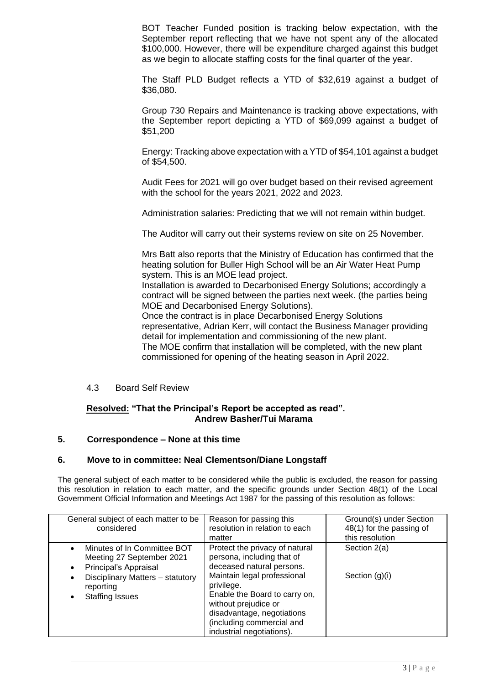BOT Teacher Funded position is tracking below expectation, with the September report reflecting that we have not spent any of the allocated \$100,000. However, there will be expenditure charged against this budget as we begin to allocate staffing costs for the final quarter of the year.

The Staff PLD Budget reflects a YTD of \$32,619 against a budget of \$36,080.

Group 730 Repairs and Maintenance is tracking above expectations, with the September report depicting a YTD of \$69,099 against a budget of \$51,200

Energy: Tracking above expectation with a YTD of \$54,101 against a budget of \$54,500.

Audit Fees for 2021 will go over budget based on their revised agreement with the school for the years 2021, 2022 and 2023.

Administration salaries: Predicting that we will not remain within budget.

The Auditor will carry out their systems review on site on 25 November.

Mrs Batt also reports that the Ministry of Education has confirmed that the heating solution for Buller High School will be an Air Water Heat Pump system. This is an MOE lead project.

Installation is awarded to Decarbonised Energy Solutions; accordingly a contract will be signed between the parties next week. (the parties being MOE and Decarbonised Energy Solutions).

Once the contract is in place Decarbonised Energy Solutions representative, Adrian Kerr, will contact the Business Manager providing detail for implementation and commissioning of the new plant. The MOE confirm that installation will be completed, with the new plant commissioned for opening of the heating season in April 2022.

#### 4.3 Board Self Review

# **Resolved: "That the Principal's Report be accepted as read". Andrew Basher/Tui Marama**

# **5. Correspondence – None at this time**

# **6. Move to in committee: Neal Clementson/Diane Longstaff**

The general subject of each matter to be considered while the public is excluded, the reason for passing this resolution in relation to each matter, and the specific grounds under Section 48(1) of the Local Government Official Information and Meetings Act 1987 for the passing of this resolution as follows:

| General subject of each matter to be<br>considered                                     | Reason for passing this<br>resolution in relation to each<br>matter                                                                                                                        | Ground(s) under Section<br>48(1) for the passing of<br>this resolution |
|----------------------------------------------------------------------------------------|--------------------------------------------------------------------------------------------------------------------------------------------------------------------------------------------|------------------------------------------------------------------------|
| Minutes of In Committee BOT<br>Meeting 27 September 2021<br>Principal's Appraisal<br>٠ | Protect the privacy of natural<br>persona, including that of<br>deceased natural persons.                                                                                                  | Section 2(a)                                                           |
| Disciplinary Matters - statutory<br>٠<br>reporting<br><b>Staffing Issues</b>           | Maintain legal professional<br>privilege.<br>Enable the Board to carry on,<br>without prejudice or<br>disadvantage, negotiations<br>(including commercial and<br>industrial negotiations). | Section $(g)(i)$                                                       |